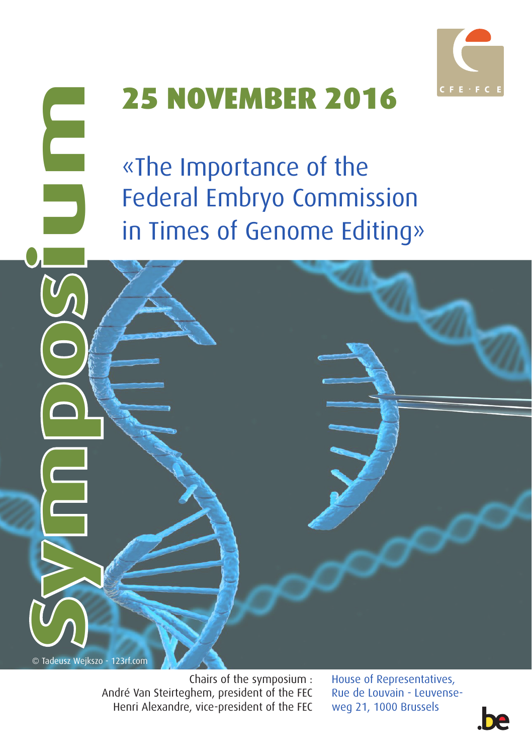

## 25 NOVEMBER 2016

«The Importance of the Federal Embryo Commission in Times of Genome Editing»

© Tadeusz Wejkszo - 123rf.com

Symposium

E

Chairs of the symposium : André Van Steirteghem, president of the FEC Henri Alexandre, vice-president of the FEC

House of Representatives, Rue de Louvain - Leuvenseweg 21, 1000 Brussels